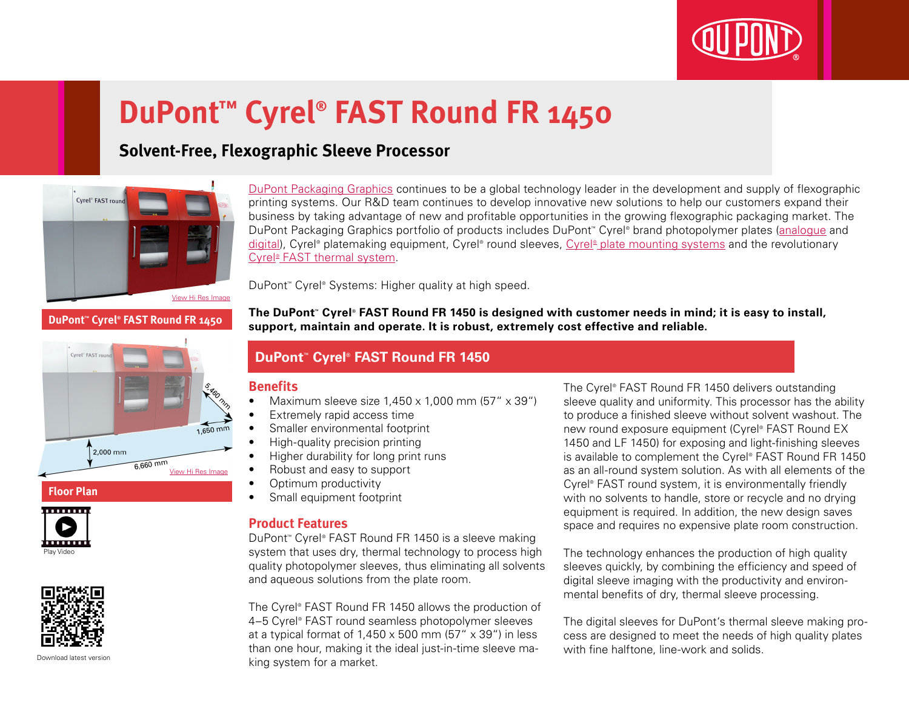

# **DuPont™ Cyrel® FAST Round FR 1450**

## **Solvent-Free, Flexographic Sleeve Processor**



[DuPont Packaging Graphics](http://www2.dupont.com/Packaging_Graphics/en_AU/index.html) continues to be a global technology leader in the development and supply of flexographic printing systems. Our R&D team continues to develop innovative new solutions to help our customers expand their business by taking advantage of new and profitable opportunities in the growing flexographic packaging market. The DuPont Packaging Graphics portfolio of products includes DuPont™ Cyrel® brand photopolymer plates ([analogue](http://www2.dupont.com/Packaging_Graphics/en_AU/products/solvent_platemaking/index.html) and [digital\)](http://www2.dupont.com/Packaging_Graphics/en_AU/products/digital_wkflow/digital_workflow.html), Cyrel® platemaking equipment, Cyrel® round sleeves, Cyrel® [plate mounting systems](http://www2.dupont.com/Packaging_Graphics/en_AU/products/mounting_systems/index.html) and the revolutionary Cyrel<sup>®</sup> [FAST thermal system.](http://www2.dupont.com/Packaging_Graphics/en_AU/products/thermal_platemaking/index.html)

DuPont™ Cyrel® Systems: Higher quality at high speed.

**DuPont™ Cyrel® FAST Round FR 1450**



#### **Floor Plan**





Download latest versio

**The DuPont™ Cyrel® FAST Round FR 1450 is designed with customer needs in mind; it is easy to install, support, maintain and operate. It is robust, extremely cost effective and reliable.**

### **DuPont™ Cyrel® FAST Round FR 1450**

#### **Benefits**

- Maximum sleeve size  $1.450 \times 1.000$  mm  $(57'' \times 39'')$
- Extremely rapid access time
- Smaller environmental footprint
- High-quality precision printing
- • Higher durability for long print runs
- Robust and easy to support
- Optimum productivity
- • Small equipment footprint

#### **Product Features**

DuPont™ Cyrel® FAST Round FR 1450 is a sleeve making system that uses dry, thermal technology to process high quality photopolymer sleeves, thus eliminating all solvents and aqueous solutions from the plate room.

The Cyrel® FAST Round FR 1450 allows the production of 4–5 Cyrel® FAST round seamless photopolymer sleeves at a typical format of  $1,450 \times 500$  mm (57"  $\times$  39") in less than one hour, making it the ideal just-in-time sleeve making system for a market.

The Cyrel® FAST Round FR 1450 delivers outstanding sleeve quality and uniformity. This processor has the ability to produce a finished sleeve without solvent washout. The new round exposure equipment (Cyrel® FAST Round EX 1450 and LF 1450) for exposing and light-finishing sleeves is available to complement the Cyrel® FAST Round FR 1450 as an all-round system solution. As with all elements of the Cyrel® FAST round system, it is environmentally friendly with no solvents to handle, store or recycle and no drying equipment is required. In addition, the new design saves space and requires no expensive plate room construction.

The technology enhances the production of high quality sleeves quickly, by combining the efficiency and speed of digital sleeve imaging with the productivity and environmental benefits of dry, thermal sleeve processing.

The digital sleeves for DuPont's thermal sleeve making process are designed to meet the needs of high quality plates with fine halftone, line-work and solids.